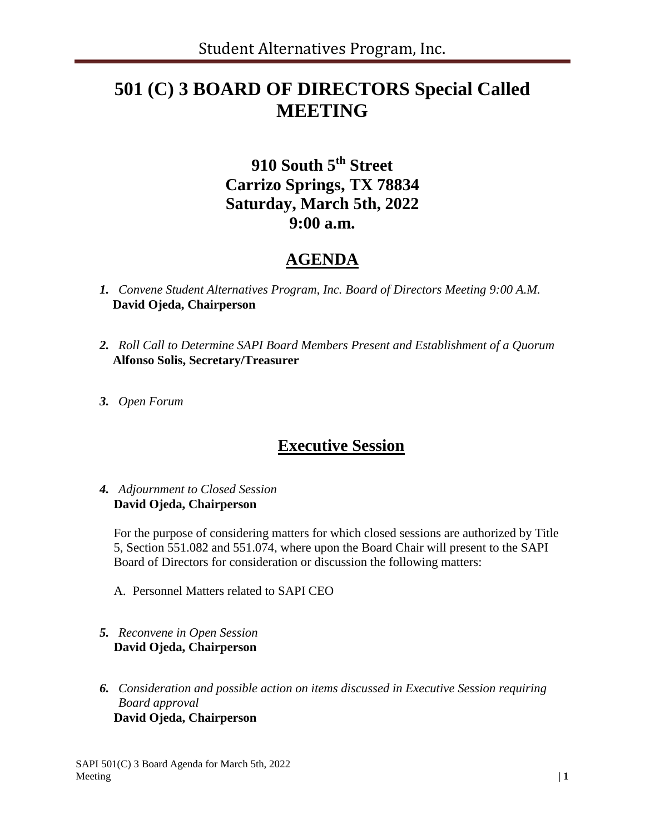# **501 (C) 3 BOARD OF DIRECTORS Special Called MEETING**

### **910 South 5th Street Carrizo Springs, TX 78834 Saturday, March 5th, 2022 9:00 a.m.**

### **AGENDA**

- *1. Convene Student Alternatives Program, Inc. Board of Directors Meeting 9:00 A.M.* **David Ojeda, Chairperson**
- *2. Roll Call to Determine SAPI Board Members Present and Establishment of a Quorum*  **Alfonso Solis, Secretary/Treasurer**
- *3. Open Forum*

### **Executive Session**

#### *4. Adjournment to Closed Session* **David Ojeda, Chairperson**

For the purpose of considering matters for which closed sessions are authorized by Title 5, Section 551.082 and 551.074, where upon the Board Chair will present to the SAPI Board of Directors for consideration or discussion the following matters:

- A. Personnel Matters related to SAPI CEO
- *5. Reconvene in Open Session* **David Ojeda, Chairperson**
- *6. Consideration and possible action on items discussed in Executive Session requiring Board approval* **David Ojeda, Chairperson**